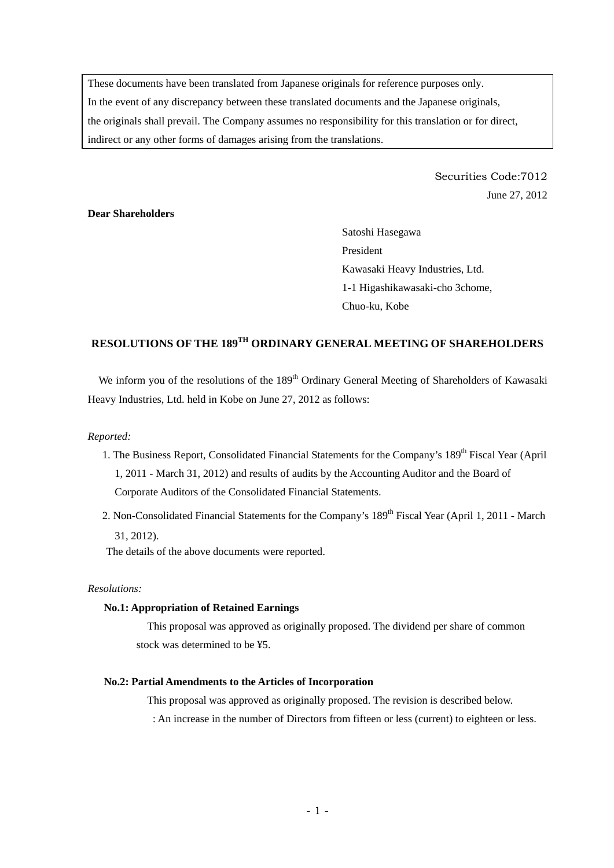These documents have been translated from Japanese originals for reference purposes only. In the event of any discrepancy between these translated documents and the Japanese originals, the originals shall prevail. The Company assumes no responsibility for this translation or for direct, indirect or any other forms of damages arising from the translations.

> Securities Code:7012 June 27, 2012

# **Dear Shareholders**

Satoshi Hasegawa President Kawasaki Heavy Industries, Ltd. 1-1 Higashikawasaki-cho 3chome, Chuo-ku, Kobe

# **RESOLUTIONS OF THE 189TH ORDINARY GENERAL MEETING OF SHAREHOLDERS**

We inform you of the resolutions of the 189<sup>th</sup> Ordinary General Meeting of Shareholders of Kawasaki Heavy Industries, Ltd. held in Kobe on June 27, 2012 as follows:

## *Reported:*

- 1. The Business Report, Consolidated Financial Statements for the Company's 189<sup>th</sup> Fiscal Year (April 1, 2011 - March 31, 2012) and results of audits by the Accounting Auditor and the Board of Corporate Auditors of the Consolidated Financial Statements.
- 2. Non-Consolidated Financial Statements for the Company's 189<sup>th</sup> Fiscal Year (April 1, 2011 March 31, 2012).

The details of the above documents were reported.

# *Resolutions:*

#### **No.1: Appropriation of Retained Earnings**

This proposal was approved as originally proposed. The dividend per share of common stock was determined to be ¥5.

## **No.2: Partial Amendments to the Articles of Incorporation**

This proposal was approved as originally proposed. The revision is described below.

: An increase in the number of Directors from fifteen or less (current) to eighteen or less.